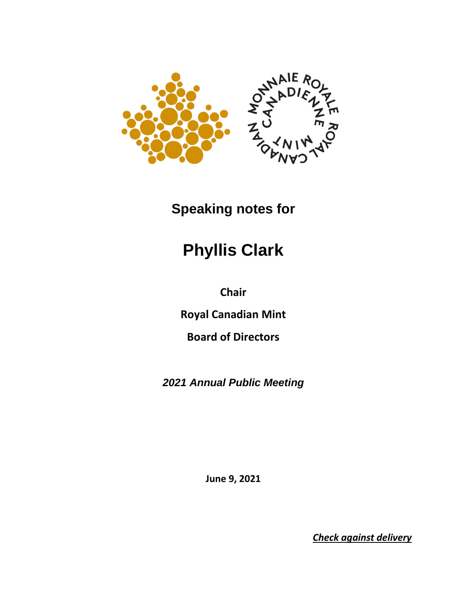

## **Speaking notes for**

## **Phyllis Clark**

**Chair** 

**Royal Canadian Mint** 

**Board of Directors**

*2021 Annual Public Meeting*

**June 9, 2021**

*Check against delivery*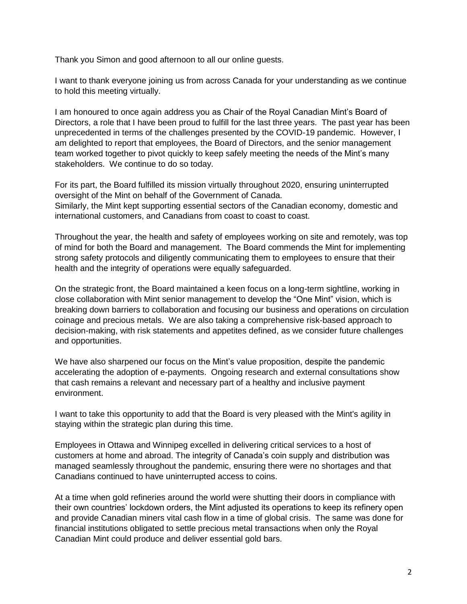Thank you Simon and good afternoon to all our online guests.

I want to thank everyone joining us from across Canada for your understanding as we continue to hold this meeting virtually.

I am honoured to once again address you as Chair of the Royal Canadian Mint's Board of Directors, a role that I have been proud to fulfill for the last three years. The past year has been unprecedented in terms of the challenges presented by the COVID-19 pandemic. However, I am delighted to report that employees, the Board of Directors, and the senior management team worked together to pivot quickly to keep safely meeting the needs of the Mint's many stakeholders. We continue to do so today.

For its part, the Board fulfilled its mission virtually throughout 2020, ensuring uninterrupted oversight of the Mint on behalf of the Government of Canada. Similarly, the Mint kept supporting essential sectors of the Canadian economy, domestic and international customers, and Canadians from coast to coast to coast.

Throughout the year, the health and safety of employees working on site and remotely, was top of mind for both the Board and management. The Board commends the Mint for implementing strong safety protocols and diligently communicating them to employees to ensure that their health and the integrity of operations were equally safeguarded.

On the strategic front, the Board maintained a keen focus on a long-term sightline, working in close collaboration with Mint senior management to develop the "One Mint" vision, which is breaking down barriers to collaboration and focusing our business and operations on circulation coinage and precious metals. We are also taking a comprehensive risk-based approach to decision-making, with risk statements and appetites defined, as we consider future challenges and opportunities.

We have also sharpened our focus on the Mint's value proposition, despite the pandemic accelerating the adoption of e-payments. Ongoing research and external consultations show that cash remains a relevant and necessary part of a healthy and inclusive payment environment.

I want to take this opportunity to add that the Board is very pleased with the Mint's agility in staying within the strategic plan during this time.

Employees in Ottawa and Winnipeg excelled in delivering critical services to a host of customers at home and abroad. The integrity of Canada's coin supply and distribution was managed seamlessly throughout the pandemic, ensuring there were no shortages and that Canadians continued to have uninterrupted access to coins.

At a time when gold refineries around the world were shutting their doors in compliance with their own countries' lockdown orders, the Mint adjusted its operations to keep its refinery open and provide Canadian miners vital cash flow in a time of global crisis. The same was done for financial institutions obligated to settle precious metal transactions when only the Royal Canadian Mint could produce and deliver essential gold bars.